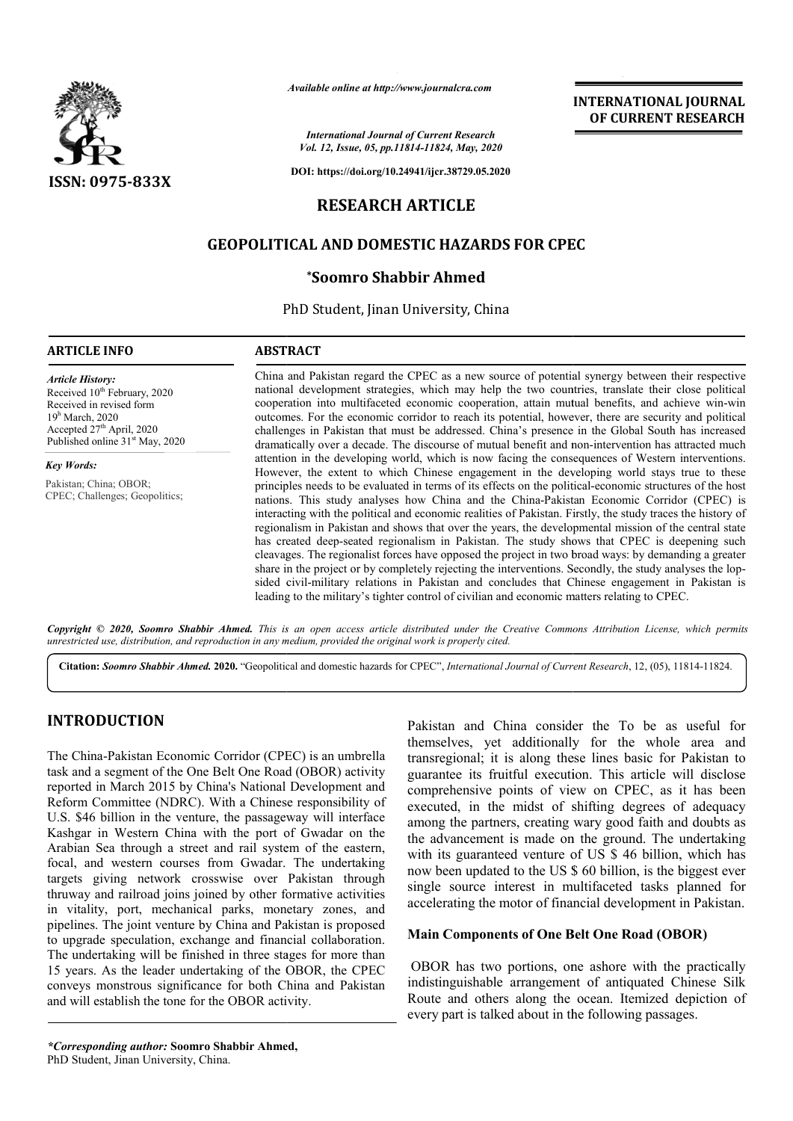

*Available online at http://www.journalcra.com*

*International Journal of Current Research Vol. 12, Issue, 05, pp.11814-11824, May, 2020*

**DOI: https://doi.org/10.24941/ijcr.38729.05.2020**

# **RESEARCH ARTICLE**

# **GEOPOLITICAL AND DOMESTIC HAZARDS FOR CPEC CPEC**

## **\*Soomro Shabbir Ahmed**

PhD Student, Jinan University, China

#### **ARTICLE INFO ABSTRACT**

*Article History:* Received 10<sup>th</sup> February, 2020 Received in revised form 19h March, 2020 Accepted 27<sup>th</sup> April, 2020

Published online 31<sup>st</sup> May, 2020 *Key Words:*

Pakistan; China; OBOR; CPEC; Challenges; Geopolitics;

China and Pakistan regard the CPEC as a new source of potential synergy between their respective China and Pakistan regard the CPEC as a new source of potential synergy between their respective national development strategies, which may help the two countries, translate their close political cooperation into multifaceted economic cooperation, attain mutual benefits, and achieve win-win outcomes. For the economic corridor to reach its potential, however, there are security and political challenges in Pakistan that must be addressed. China's presence in the Global South has increased dramatically over a decade. The discourse of mutual benefit and non-intervention has attracted much attention in the developing world, which is now facing the consequences of Western interventions. However, the extent to which Chinese engagement in the developing world stays true to these However, the extent to which Chinese engagement in the developing world stays true to these principles needs to be evaluated in terms of its effects on the political-economic structures of the host nations. This study analyses how China and the China-Pakistan Economic Corridor (CPEC) is interacting with the political and economic realities of Pakistan. Firstly, the study traces the history of regionalism in Pakistan and shows that over the years, the developmental mission of the central state has created deep-seated regionalism in Pakistan. The study shows that CPEC is deepening such cleavages. The regionalist forces have opposed the project in two broad ways: by demanding a greater share in the project or by completely rejecting the interventions. Secondly, the study analyses the lop sided civil-military relations in Pakistan and concludes that Chinese engagement in Pakistan is sided civil-military relations in Pakistan and concludes that Chinese engagement in leading to the military's tighter control of civilian and economic matters relating to CPEC. outcomes. For the economic corridor to reach its potential, however, there are security and political challenges in Pakistan that must be addressed. China's presence in the Global South has increased dramatically over a de nations. This study analyses how China and the China-Pakistan Economic Corridor (CPEC) is interacting with the political and economic realities of Pakistan. Firstly, the study traces the history of regionalism in Pakistan

Copyright © 2020, Soomro Shabbir Ahmed. This is an open access article distributed under the Creative Commons Attribution License, which permits *unrestricted use, distribution, and reproduction in any medium, provided the original work is properly cited.*

Citation: Soomro Shabbir Ahmed. 2020. "Geopolitical and domestic hazards for CPEC", International Journal of Current Research, 12, (05), 11814-11824.

# **INTRODUCTION**

The China-Pakistan Economic Corridor (CPEC) is an umbrella task and a segment of the One Belt One Road (OBOR) activity reported in March 2015 by China's National Development and Reform Committee (NDRC). With a Chinese responsibility of U.S. \$46 billion in the venture, the passageway will interface Kashgar in Western China with the port of Gwadar on the Arabian Sea through a street and rail system of the eastern, focal, and western courses from Gwadar. The undertaking targets giving network crosswise over Pa thruway and railroad joins joined by other formative activities in vitality, port, mechanical parks, monetary zones, and pipelines. The joint venture by China and Pakistan is proposed to upgrade speculation, exchange and financial collaboration. The undertaking will be finished in three stages for more than 15 years. As the leader undertaking of the OBOR, the CPEC conveys monstrous significance for both China and Pakistan and will establish the tone for the OBOR activity. Pakistan Economic Corridor (CPEC) is an umbrella<br>egment of the One Belt One Road (OBOR) activity<br>March 2015 by China's National Development and<br>mmittee (NDRC). With a Chinese responsibility of<br>illion in the venture, the pa Pakistan and China consider the To be as useful for themselves, yet additionally for the whole area and transregional; it is along these lines basic for Pakistan to guarantee its fruitful execution. This article will disclose comprehensive points of view on CPEC, as it has been executed, in the midst of shifting degrees of adequacy among the partners, creating wary good faith and doubts as comprehensive points of view on CPEC, as it has been executed, in the midst of shifting degrees of adequacy among the partners, creating wary good faith and doubts as the advancement is made on the ground. The undertaking with its guaranteed venture of US \$ 46 billion, which has now been updated to the US \$ 60 billion, is the biggest ever single source interest in multifaceted tasks planned for accelerating the motor of financial development in Pakistan. Pakistan and China consider the To be as useful for themselves, yet additionally for the whole area and transregional; it is along these lines basic for Pakistan to with its guaranteed venture of US \$ 46 billion, which has now been updated to the US \$ 60 billion, is the biggest ever single source interest in multifaceted tasks planned for accelerating the motor of financial developmen

**INTERNATIONAL JOURNAL OF CURRENT RESEARCH**

## **Main Components of One Belt One Road (OBOR)**

OBOR has two portions, one ashore with the practically indistinguishable arrangement of antiquated Chinese Silk Route and others along the ocean. Itemized depiction of every part is talked about in the following passages. OBOR has two portions, one ashore with the practically indistinguishable arrangement of antiquated Chinese Silk Route and others along the ocean. Itemized depiction of every part is talked about in the following passages.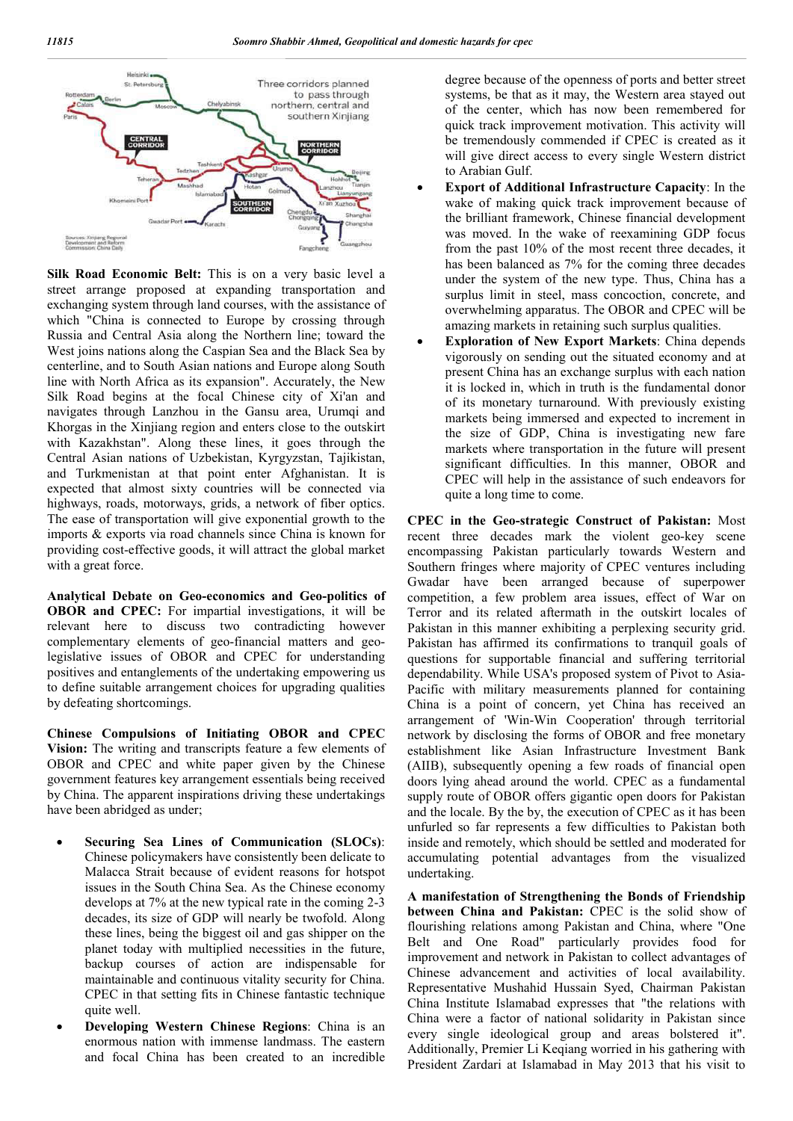

**Silk Road Economic Belt:** This is on a very basic level a street arrange proposed at expanding transportation and exchanging system through land courses, with the assistance of which "China is connected to Europe by crossing through Russia and Central Asia along the Northern line; toward the West joins nations along the Caspian Sea and the Black Sea by centerline, and to South Asian nations and Europe along South line with North Africa as its expansion". Accurately, the New Silk Road begins at the focal Chinese city of Xi'an and navigates through Lanzhou in the Gansu area, Urumqi and Khorgas in the Xinjiang region and enters close to the outskirt with Kazakhstan". Along these lines, it goes through the Central Asian nations of Uzbekistan, Kyrgyzstan, Tajikistan, and Turkmenistan at that point enter Afghanistan. It is expected that almost sixty countries will be connected via highways, roads, motorways, grids, a network of fiber optics. The ease of transportation will give exponential growth to the imports & exports via road channels since China is known for providing cost-effective goods, it will attract the global market with a great force.

**Analytical Debate on Geo-economics and Geo-politics of OBOR and CPEC:** For impartial investigations, it will be relevant here to discuss two contradicting however complementary elements of geo-financial matters and geolegislative issues of OBOR and CPEC for understanding positives and entanglements of the undertaking empowering us to define suitable arrangement choices for upgrading qualities by defeating shortcomings.

**Chinese Compulsions of Initiating OBOR and CPEC Vision:** The writing and transcripts feature a few elements of OBOR and CPEC and white paper given by the Chinese government features key arrangement essentials being received by China. The apparent inspirations driving these undertakings have been abridged as under;

- **Securing Sea Lines of Communication (SLOCs)**: Chinese policymakers have consistently been delicate to Malacca Strait because of evident reasons for hotspot issues in the South China Sea. As the Chinese economy develops at 7% at the new typical rate in the coming 2-3 decades, its size of GDP will nearly be twofold. Along these lines, being the biggest oil and gas shipper on the planet today with multiplied necessities in the future, backup courses of action are indispensable for maintainable and continuous vitality security for China. CPEC in that setting fits in Chinese fantastic technique quite well.
- **Developing Western Chinese Regions**: China is an enormous nation with immense landmass. The eastern and focal China has been created to an incredible

degree because of the openness of ports and better street systems, be that as it may, the Western area stayed out of the center, which has now been remembered for quick track improvement motivation. This activity will be tremendously commended if CPEC is created as it will give direct access to every single Western district to Arabian Gulf.

- **Export of Additional Infrastructure Capacity**: In the wake of making quick track improvement because of the brilliant framework, Chinese financial development was moved. In the wake of reexamining GDP focus from the past 10% of the most recent three decades, it has been balanced as 7% for the coming three decades under the system of the new type. Thus, China has a surplus limit in steel, mass concoction, concrete, and overwhelming apparatus. The OBOR and CPEC will be amazing markets in retaining such surplus qualities.
- **Exploration of New Export Markets**: China depends vigorously on sending out the situated economy and at present China has an exchange surplus with each nation it is locked in, which in truth is the fundamental donor of its monetary turnaround. With previously existing markets being immersed and expected to increment in the size of GDP, China is investigating new fare markets where transportation in the future will present significant difficulties. In this manner, OBOR and CPEC will help in the assistance of such endeavors for quite a long time to come.

**CPEC in the Geo-strategic Construct of Pakistan:** Most recent three decades mark the violent geo-key scene encompassing Pakistan particularly towards Western and Southern fringes where majority of CPEC ventures including Gwadar have been arranged because of superpower competition, a few problem area issues, effect of War on Terror and its related aftermath in the outskirt locales of Pakistan in this manner exhibiting a perplexing security grid. Pakistan has affirmed its confirmations to tranquil goals of questions for supportable financial and suffering territorial dependability. While USA's proposed system of Pivot to Asia-Pacific with military measurements planned for containing China is a point of concern, yet China has received an arrangement of 'Win-Win Cooperation' through territorial network by disclosing the forms of OBOR and free monetary establishment like Asian Infrastructure Investment Bank (AIIB), subsequently opening a few roads of financial open doors lying ahead around the world. CPEC as a fundamental supply route of OBOR offers gigantic open doors for Pakistan and the locale. By the by, the execution of CPEC as it has been unfurled so far represents a few difficulties to Pakistan both inside and remotely, which should be settled and moderated for accumulating potential advantages from the visualized undertaking.

**A manifestation of Strengthening the Bonds of Friendship between China and Pakistan:** CPEC is the solid show of flourishing relations among Pakistan and China, where "One Belt and One Road" particularly provides food for improvement and network in Pakistan to collect advantages of Chinese advancement and activities of local availability. Representative Mushahid Hussain Syed, Chairman Pakistan China Institute Islamabad expresses that "the relations with China were a factor of national solidarity in Pakistan since every single ideological group and areas bolstered it". Additionally, Premier Li Keqiang worried in his gathering with President Zardari at Islamabad in May 2013 that his visit to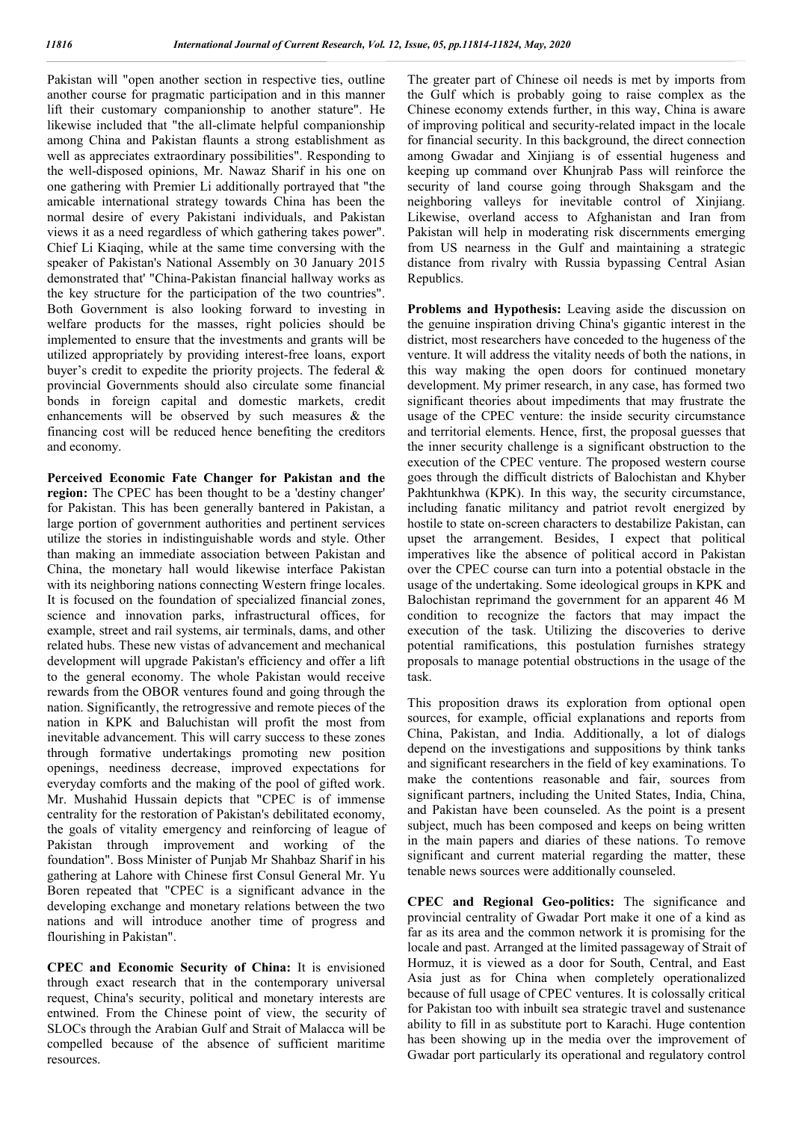Pakistan will "open another section in respective ties, outline another course for pragmatic participation and in this manner lift their customary companionship to another stature". He likewise included that "the all-climate helpful companionship among China and Pakistan flaunts a strong establishment as well as appreciates extraordinary possibilities". Responding to the well-disposed opinions, Mr. Nawaz Sharif in his one on one gathering with Premier Li additionally portrayed that "the amicable international strategy towards China has been the normal desire of every Pakistani individuals, and Pakistan views it as a need regardless of which gathering takes power". Chief Li Kiaqing, while at the same time conversing with the speaker of Pakistan's National Assembly on 30 January 2015 demonstrated that' "China-Pakistan financial hallway works as the key structure for the participation of the two countries". Both Government is also looking forward to investing in welfare products for the masses, right policies should be implemented to ensure that the investments and grants will be utilized appropriately by providing interest-free loans, export buyer's credit to expedite the priority projects. The federal & provincial Governments should also circulate some financial bonds in foreign capital and domestic markets, credit enhancements will be observed by such measures & the financing cost will be reduced hence benefiting the creditors and economy.

**Perceived Economic Fate Changer for Pakistan and the region:** The CPEC has been thought to be a 'destiny changer' for Pakistan. This has been generally bantered in Pakistan, a large portion of government authorities and pertinent services utilize the stories in indistinguishable words and style. Other than making an immediate association between Pakistan and China, the monetary hall would likewise interface Pakistan with its neighboring nations connecting Western fringe locales. It is focused on the foundation of specialized financial zones, science and innovation parks, infrastructural offices, for example, street and rail systems, air terminals, dams, and other related hubs. These new vistas of advancement and mechanical development will upgrade Pakistan's efficiency and offer a lift to the general economy. The whole Pakistan would receive rewards from the OBOR ventures found and going through the nation. Significantly, the retrogressive and remote pieces of the nation in KPK and Baluchistan will profit the most from inevitable advancement. This will carry success to these zones through formative undertakings promoting new position openings, neediness decrease, improved expectations for everyday comforts and the making of the pool of gifted work. Mr. Mushahid Hussain depicts that "CPEC is of immense centrality for the restoration of Pakistan's debilitated economy, the goals of vitality emergency and reinforcing of league of Pakistan through improvement and working of the foundation". Boss Minister of Punjab Mr Shahbaz Sharif in his gathering at Lahore with Chinese first Consul General Mr. Yu Boren repeated that "CPEC is a significant advance in the developing exchange and monetary relations between the two nations and will introduce another time of progress and flourishing in Pakistan".

**CPEC and Economic Security of China:** It is envisioned through exact research that in the contemporary universal request, China's security, political and monetary interests are entwined. From the Chinese point of view, the security of SLOCs through the Arabian Gulf and Strait of Malacca will be compelled because of the absence of sufficient maritime resources.

The greater part of Chinese oil needs is met by imports from the Gulf which is probably going to raise complex as the Chinese economy extends further, in this way, China is aware of improving political and security-related impact in the locale for financial security. In this background, the direct connection among Gwadar and Xinjiang is of essential hugeness and keeping up command over Khunjrab Pass will reinforce the security of land course going through Shaksgam and the neighboring valleys for inevitable control of Xinjiang. Likewise, overland access to Afghanistan and Iran from Pakistan will help in moderating risk discernments emerging from US nearness in the Gulf and maintaining a strategic distance from rivalry with Russia bypassing Central Asian Republics.

**Problems and Hypothesis:** Leaving aside the discussion on the genuine inspiration driving China's gigantic interest in the district, most researchers have conceded to the hugeness of the venture. It will address the vitality needs of both the nations, in this way making the open doors for continued monetary development. My primer research, in any case, has formed two significant theories about impediments that may frustrate the usage of the CPEC venture: the inside security circumstance and territorial elements. Hence, first, the proposal guesses that the inner security challenge is a significant obstruction to the execution of the CPEC venture. The proposed western course goes through the difficult districts of Balochistan and Khyber Pakhtunkhwa (KPK). In this way, the security circumstance, including fanatic militancy and patriot revolt energized by hostile to state on-screen characters to destabilize Pakistan, can upset the arrangement. Besides, I expect that political imperatives like the absence of political accord in Pakistan over the CPEC course can turn into a potential obstacle in the usage of the undertaking. Some ideological groups in KPK and Balochistan reprimand the government for an apparent 46 M condition to recognize the factors that may impact the execution of the task. Utilizing the discoveries to derive potential ramifications, this postulation furnishes strategy proposals to manage potential obstructions in the usage of the task.

This proposition draws its exploration from optional open sources, for example, official explanations and reports from China, Pakistan, and India. Additionally, a lot of dialogs depend on the investigations and suppositions by think tanks and significant researchers in the field of key examinations. To make the contentions reasonable and fair, sources from significant partners, including the United States, India, China, and Pakistan have been counseled. As the point is a present subject, much has been composed and keeps on being written in the main papers and diaries of these nations. To remove significant and current material regarding the matter, these tenable news sources were additionally counseled.

**CPEC and Regional Geo-politics:** The significance and provincial centrality of Gwadar Port make it one of a kind as far as its area and the common network it is promising for the locale and past. Arranged at the limited passageway of Strait of Hormuz, it is viewed as a door for South, Central, and East Asia just as for China when completely operationalized because of full usage of CPEC ventures. It is colossally critical for Pakistan too with inbuilt sea strategic travel and sustenance ability to fill in as substitute port to Karachi. Huge contention has been showing up in the media over the improvement of Gwadar port particularly its operational and regulatory control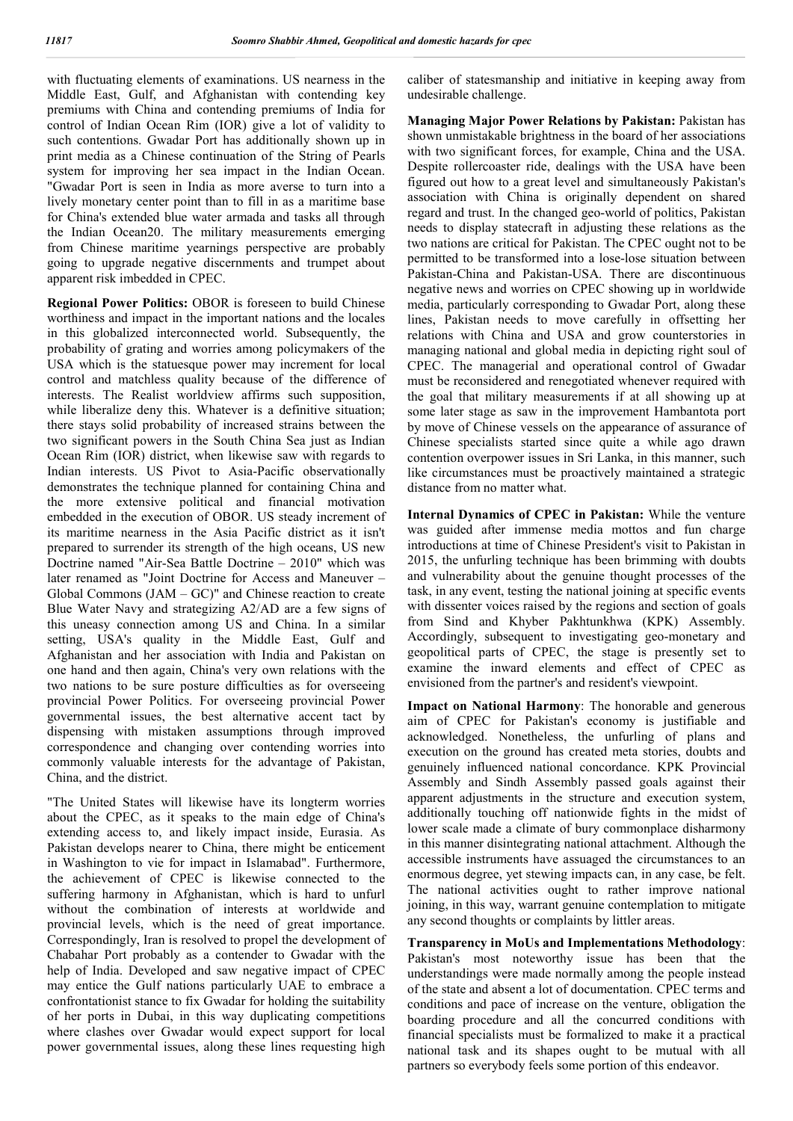with fluctuating elements of examinations. US nearness in the Middle East, Gulf, and Afghanistan with contending key premiums with China and contending premiums of India for control of Indian Ocean Rim (IOR) give a lot of validity to such contentions. Gwadar Port has additionally shown up in print media as a Chinese continuation of the String of Pearls system for improving her sea impact in the Indian Ocean. "Gwadar Port is seen in India as more averse to turn into a lively monetary center point than to fill in as a maritime base for China's extended blue water armada and tasks all through the Indian Ocean20. The military measurements emerging from Chinese maritime yearnings perspective are probably going to upgrade negative discernments and trumpet about apparent risk imbedded in CPEC.

**Regional Power Politics:** OBOR is foreseen to build Chinese worthiness and impact in the important nations and the locales in this globalized interconnected world. Subsequently, the probability of grating and worries among policymakers of the USA which is the statuesque power may increment for local control and matchless quality because of the difference of interests. The Realist worldview affirms such supposition, while liberalize deny this. Whatever is a definitive situation; there stays solid probability of increased strains between the two significant powers in the South China Sea just as Indian Ocean Rim (IOR) district, when likewise saw with regards to Indian interests. US Pivot to Asia-Pacific observationally demonstrates the technique planned for containing China and the more extensive political and financial motivation embedded in the execution of OBOR. US steady increment of its maritime nearness in the Asia Pacific district as it isn't prepared to surrender its strength of the high oceans, US new Doctrine named "Air-Sea Battle Doctrine – 2010" which was later renamed as "Joint Doctrine for Access and Maneuver – Global Commons (JAM – GC)" and Chinese reaction to create Blue Water Navy and strategizing A2/AD are a few signs of this uneasy connection among US and China. In a similar setting, USA's quality in the Middle East, Gulf and Afghanistan and her association with India and Pakistan on one hand and then again, China's very own relations with the two nations to be sure posture difficulties as for overseeing provincial Power Politics. For overseeing provincial Power governmental issues, the best alternative accent tact by dispensing with mistaken assumptions through improved correspondence and changing over contending worries into commonly valuable interests for the advantage of Pakistan, China, and the district.

"The United States will likewise have its longterm worries about the CPEC, as it speaks to the main edge of China's extending access to, and likely impact inside, Eurasia. As Pakistan develops nearer to China, there might be enticement in Washington to vie for impact in Islamabad". Furthermore, the achievement of CPEC is likewise connected to the suffering harmony in Afghanistan, which is hard to unfurl without the combination of interests at worldwide and provincial levels, which is the need of great importance. Correspondingly, Iran is resolved to propel the development of Chabahar Port probably as a contender to Gwadar with the help of India. Developed and saw negative impact of CPEC may entice the Gulf nations particularly UAE to embrace a confrontationist stance to fix Gwadar for holding the suitability of her ports in Dubai, in this way duplicating competitions where clashes over Gwadar would expect support for local power governmental issues, along these lines requesting high

caliber of statesmanship and initiative in keeping away from undesirable challenge.

**Managing Major Power Relations by Pakistan:** Pakistan has shown unmistakable brightness in the board of her associations with two significant forces, for example, China and the USA. Despite rollercoaster ride, dealings with the USA have been figured out how to a great level and simultaneously Pakistan's association with China is originally dependent on shared regard and trust. In the changed geo-world of politics, Pakistan needs to display statecraft in adjusting these relations as the two nations are critical for Pakistan. The CPEC ought not to be permitted to be transformed into a lose-lose situation between Pakistan-China and Pakistan-USA. There are discontinuous negative news and worries on CPEC showing up in worldwide media, particularly corresponding to Gwadar Port, along these lines, Pakistan needs to move carefully in offsetting her relations with China and USA and grow counterstories in managing national and global media in depicting right soul of CPEC. The managerial and operational control of Gwadar must be reconsidered and renegotiated whenever required with the goal that military measurements if at all showing up at some later stage as saw in the improvement Hambantota port by move of Chinese vessels on the appearance of assurance of Chinese specialists started since quite a while ago drawn contention overpower issues in Sri Lanka, in this manner, such like circumstances must be proactively maintained a strategic distance from no matter what.

**Internal Dynamics of CPEC in Pakistan:** While the venture was guided after immense media mottos and fun charge introductions at time of Chinese President's visit to Pakistan in 2015, the unfurling technique has been brimming with doubts and vulnerability about the genuine thought processes of the task, in any event, testing the national joining at specific events with dissenter voices raised by the regions and section of goals from Sind and Khyber Pakhtunkhwa (KPK) Assembly. Accordingly, subsequent to investigating geo-monetary and geopolitical parts of CPEC, the stage is presently set to examine the inward elements and effect of CPEC as envisioned from the partner's and resident's viewpoint.

**Impact on National Harmony**: The honorable and generous aim of CPEC for Pakistan's economy is justifiable and acknowledged. Nonetheless, the unfurling of plans and execution on the ground has created meta stories, doubts and genuinely influenced national concordance. KPK Provincial Assembly and Sindh Assembly passed goals against their apparent adjustments in the structure and execution system, additionally touching off nationwide fights in the midst of lower scale made a climate of bury commonplace disharmony in this manner disintegrating national attachment. Although the accessible instruments have assuaged the circumstances to an enormous degree, yet stewing impacts can, in any case, be felt. The national activities ought to rather improve national joining, in this way, warrant genuine contemplation to mitigate any second thoughts or complaints by littler areas.

**Transparency in MoUs and Implementations Methodology**: Pakistan's most noteworthy issue has been that the understandings were made normally among the people instead of the state and absent a lot of documentation. CPEC terms and conditions and pace of increase on the venture, obligation the boarding procedure and all the concurred conditions with financial specialists must be formalized to make it a practical national task and its shapes ought to be mutual with all partners so everybody feels some portion of this endeavor.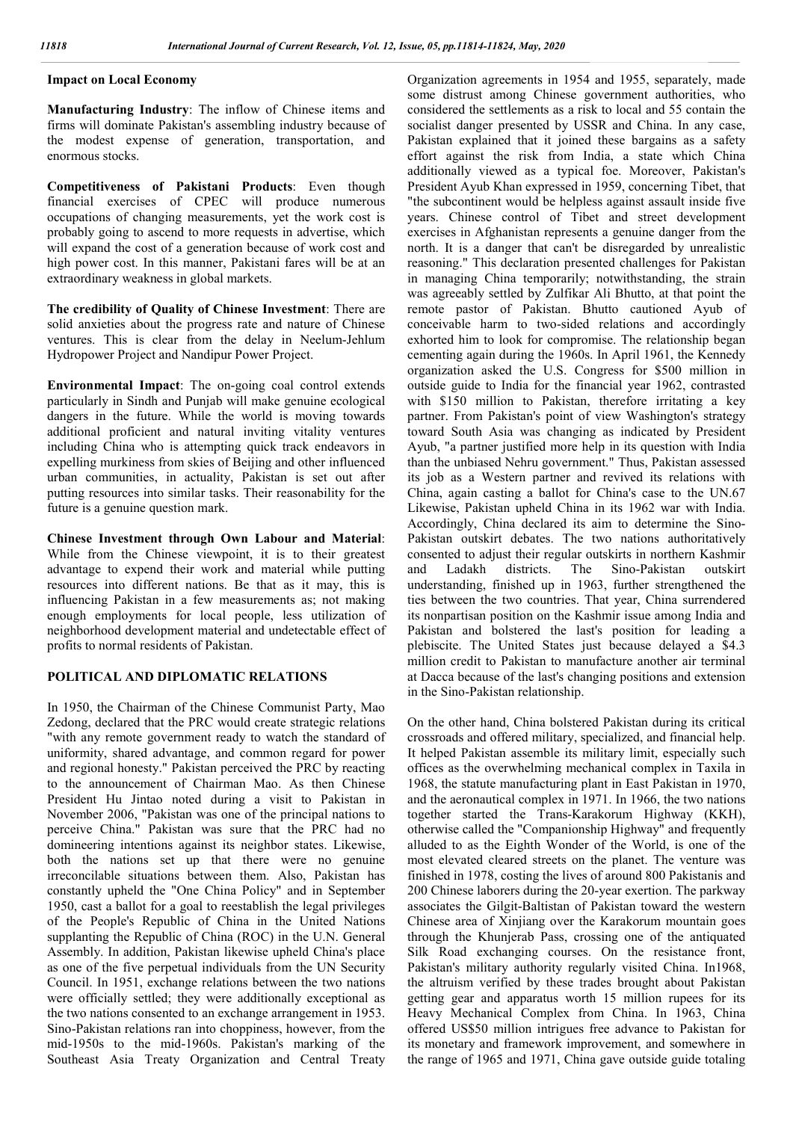### **Impact on Local Economy**

**Manufacturing Industry**: The inflow of Chinese items and firms will dominate Pakistan's assembling industry because of the modest expense of generation, transportation, and enormous stocks.

**Competitiveness of Pakistani Products**: Even though financial exercises of CPEC will produce numerous occupations of changing measurements, yet the work cost is probably going to ascend to more requests in advertise, which will expand the cost of a generation because of work cost and high power cost. In this manner, Pakistani fares will be at an extraordinary weakness in global markets.

**The credibility of Quality of Chinese Investment**: There are solid anxieties about the progress rate and nature of Chinese ventures. This is clear from the delay in Neelum-Jehlum Hydropower Project and Nandipur Power Project.

**Environmental Impact**: The on-going coal control extends particularly in Sindh and Punjab will make genuine ecological dangers in the future. While the world is moving towards additional proficient and natural inviting vitality ventures including China who is attempting quick track endeavors in expelling murkiness from skies of Beijing and other influenced urban communities, in actuality, Pakistan is set out after putting resources into similar tasks. Their reasonability for the future is a genuine question mark.

**Chinese Investment through Own Labour and Material**: While from the Chinese viewpoint, it is to their greatest advantage to expend their work and material while putting resources into different nations. Be that as it may, this is influencing Pakistan in a few measurements as; not making enough employments for local people, less utilization of neighborhood development material and undetectable effect of profits to normal residents of Pakistan.

## **POLITICAL AND DIPLOMATIC RELATIONS**

In 1950, the Chairman of the Chinese Communist Party, Mao Zedong, declared that the PRC would create strategic relations "with any remote government ready to watch the standard of uniformity, shared advantage, and common regard for power and regional honesty." Pakistan perceived the PRC by reacting to the announcement of Chairman Mao. As then Chinese President Hu Jintao noted during a visit to Pakistan in November 2006, "Pakistan was one of the principal nations to perceive China." Pakistan was sure that the PRC had no domineering intentions against its neighbor states. Likewise, both the nations set up that there were no genuine irreconcilable situations between them. Also, Pakistan has constantly upheld the "One China Policy" and in September 1950, cast a ballot for a goal to reestablish the legal privileges of the People's Republic of China in the United Nations supplanting the Republic of China (ROC) in the U.N. General Assembly. In addition, Pakistan likewise upheld China's place as one of the five perpetual individuals from the UN Security Council. In 1951, exchange relations between the two nations were officially settled; they were additionally exceptional as the two nations consented to an exchange arrangement in 1953. Sino-Pakistan relations ran into choppiness, however, from the mid-1950s to the mid-1960s. Pakistan's marking of the Southeast Asia Treaty Organization and Central Treaty

Organization agreements in 1954 and 1955, separately, made some distrust among Chinese government authorities, who considered the settlements as a risk to local and 55 contain the socialist danger presented by USSR and China. In any case, Pakistan explained that it joined these bargains as a safety effort against the risk from India, a state which China additionally viewed as a typical foe. Moreover, Pakistan's President Ayub Khan expressed in 1959, concerning Tibet, that "the subcontinent would be helpless against assault inside five years. Chinese control of Tibet and street development exercises in Afghanistan represents a genuine danger from the north. It is a danger that can't be disregarded by unrealistic reasoning." This declaration presented challenges for Pakistan in managing China temporarily; notwithstanding, the strain was agreeably settled by Zulfikar Ali Bhutto, at that point the remote pastor of Pakistan. Bhutto cautioned Ayub of conceivable harm to two-sided relations and accordingly exhorted him to look for compromise. The relationship began cementing again during the 1960s. In April 1961, the Kennedy organization asked the U.S. Congress for \$500 million in outside guide to India for the financial year 1962, contrasted with \$150 million to Pakistan, therefore irritating a key partner. From Pakistan's point of view Washington's strategy toward South Asia was changing as indicated by President Ayub, "a partner justified more help in its question with India than the unbiased Nehru government." Thus, Pakistan assessed its job as a Western partner and revived its relations with China, again casting a ballot for China's case to the UN.67 Likewise, Pakistan upheld China in its 1962 war with India. Accordingly, China declared its aim to determine the Sino-Pakistan outskirt debates. The two nations authoritatively consented to adjust their regular outskirts in northern Kashmir and Ladakh districts. The Sino-Pakistan outskirt understanding, finished up in 1963, further strengthened the ties between the two countries. That year, China surrendered its nonpartisan position on the Kashmir issue among India and Pakistan and bolstered the last's position for leading a plebiscite. The United States just because delayed a \$4.3 million credit to Pakistan to manufacture another air terminal at Dacca because of the last's changing positions and extension in the Sino-Pakistan relationship.

On the other hand, China bolstered Pakistan during its critical crossroads and offered military, specialized, and financial help. It helped Pakistan assemble its military limit, especially such offices as the overwhelming mechanical complex in Taxila in 1968, the statute manufacturing plant in East Pakistan in 1970, and the aeronautical complex in 1971. In 1966, the two nations together started the Trans-Karakorum Highway (KKH), otherwise called the "Companionship Highway" and frequently alluded to as the Eighth Wonder of the World, is one of the most elevated cleared streets on the planet. The venture was finished in 1978, costing the lives of around 800 Pakistanis and 200 Chinese laborers during the 20-year exertion. The parkway associates the Gilgit-Baltistan of Pakistan toward the western Chinese area of Xinjiang over the Karakorum mountain goes through the Khunjerab Pass, crossing one of the antiquated Silk Road exchanging courses. On the resistance front, Pakistan's military authority regularly visited China. In1968, the altruism verified by these trades brought about Pakistan getting gear and apparatus worth 15 million rupees for its Heavy Mechanical Complex from China. In 1963, China offered US\$50 million intrigues free advance to Pakistan for its monetary and framework improvement, and somewhere in the range of 1965 and 1971, China gave outside guide totaling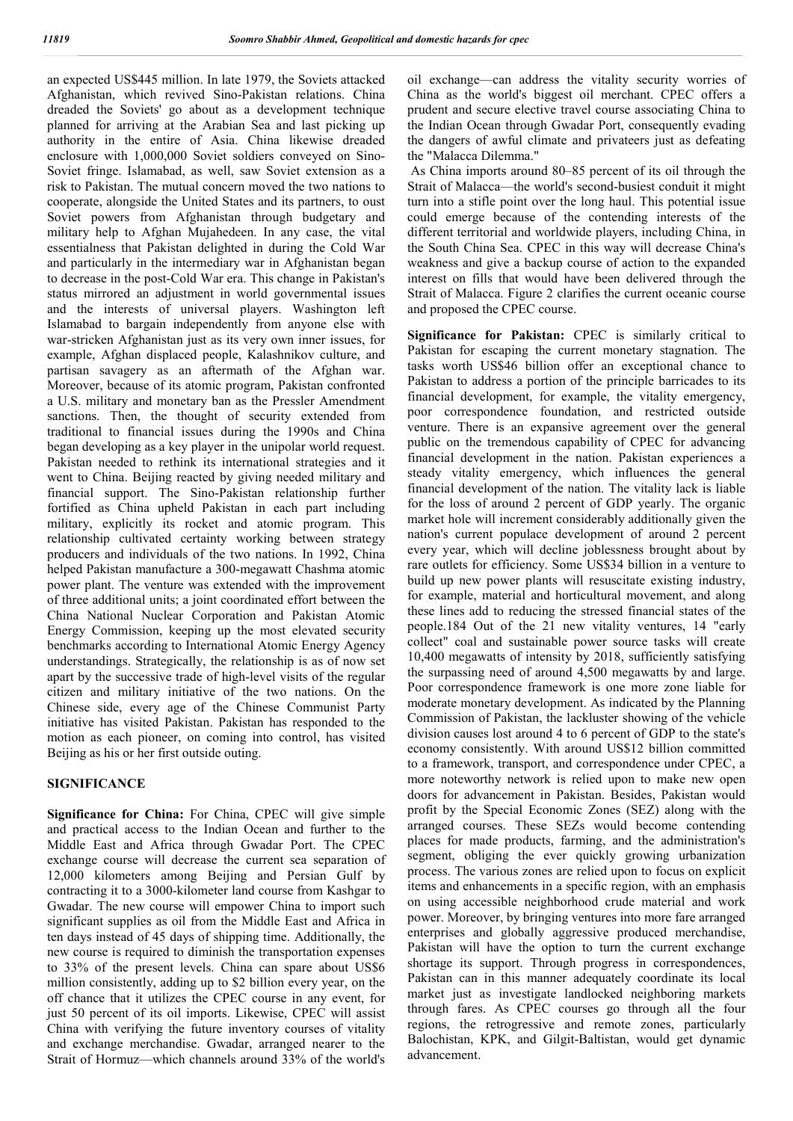an expected US\$445 million. In late 1979, the Soviets attacked Afghanistan, which revived Sino-Pakistan relations. China dreaded the Soviets' go about as a development technique planned for arriving at the Arabian Sea and last picking up authority in the entire of Asia. China likewise dreaded enclosure with 1,000,000 Soviet soldiers conveyed on Sino-Soviet fringe. Islamabad, as well, saw Soviet extension as a risk to Pakistan. The mutual concern moved the two nations to cooperate, alongside the United States and its partners, to oust Soviet powers from Afghanistan through budgetary and military help to Afghan Mujahedeen. In any case, the vital essentialness that Pakistan delighted in during the Cold War and particularly in the intermediary war in Afghanistan began to decrease in the post-Cold War era. This change in Pakistan's status mirrored an adjustment in world governmental issues and the interests of universal players. Washington left Islamabad to bargain independently from anyone else with war-stricken Afghanistan just as its very own inner issues, for example, Afghan displaced people, Kalashnikov culture, and partisan savagery as an aftermath of the Afghan war. Moreover, because of its atomic program, Pakistan confronted a U.S. military and monetary ban as the Pressler Amendment sanctions. Then, the thought of security extended from traditional to financial issues during the 1990s and China began developing as a key player in the unipolar world request. Pakistan needed to rethink its international strategies and it went to China. Beijing reacted by giving needed military and financial support. The Sino-Pakistan relationship further fortified as China upheld Pakistan in each part including military, explicitly its rocket and atomic program. This relationship cultivated certainty working between strategy producers and individuals of the two nations. In 1992, China helped Pakistan manufacture a 300-megawatt Chashma atomic power plant. The venture was extended with the improvement of three additional units; a joint coordinated effort between the China National Nuclear Corporation and Pakistan Atomic Energy Commission, keeping up the most elevated security benchmarks according to International Atomic Energy Agency understandings. Strategically, the relationship is as of now set apart by the successive trade of high-level visits of the regular citizen and military initiative of the two nations. On the Chinese side, every age of the Chinese Communist Party initiative has visited Pakistan. Pakistan has responded to the motion as each pioneer, on coming into control, has visited Beijing as his or her first outside outing.

## **SIGNIFICANCE**

**Significance for China:** For China, CPEC will give simple and practical access to the Indian Ocean and further to the Middle East and Africa through Gwadar Port. The CPEC exchange course will decrease the current sea separation of 12,000 kilometers among Beijing and Persian Gulf by contracting it to a 3000-kilometer land course from Kashgar to Gwadar. The new course will empower China to import such significant supplies as oil from the Middle East and Africa in ten days instead of 45 days of shipping time. Additionally, the new course is required to diminish the transportation expenses to 33% of the present levels. China can spare about US\$6 million consistently, adding up to \$2 billion every year, on the off chance that it utilizes the CPEC course in any event, for just 50 percent of its oil imports. Likewise, CPEC will assist China with verifying the future inventory courses of vitality and exchange merchandise. Gwadar, arranged nearer to the Strait of Hormuz—which channels around 33% of the world's

oil exchange—can address the vitality security worries of China as the world's biggest oil merchant. CPEC offers a prudent and secure elective travel course associating China to the Indian Ocean through Gwadar Port, consequently evading the dangers of awful climate and privateers just as defeating the "Malacca Dilemma."

As China imports around 80–85 percent of its oil through the Strait of Malacca—the world's second-busiest conduit it might turn into a stifle point over the long haul. This potential issue could emerge because of the contending interests of the different territorial and worldwide players, including China, in the South China Sea. CPEC in this way will decrease China's weakness and give a backup course of action to the expanded interest on fills that would have been delivered through the Strait of Malacca. Figure 2 clarifies the current oceanic course and proposed the CPEC course.

**Significance for Pakistan:** CPEC is similarly critical to Pakistan for escaping the current monetary stagnation. The tasks worth US\$46 billion offer an exceptional chance to Pakistan to address a portion of the principle barricades to its financial development, for example, the vitality emergency, poor correspondence foundation, and restricted outside venture. There is an expansive agreement over the general public on the tremendous capability of CPEC for advancing financial development in the nation. Pakistan experiences a steady vitality emergency, which influences the general financial development of the nation. The vitality lack is liable for the loss of around 2 percent of GDP yearly. The organic market hole will increment considerably additionally given the nation's current populace development of around 2 percent every year, which will decline joblessness brought about by rare outlets for efficiency. Some US\$34 billion in a venture to build up new power plants will resuscitate existing industry, for example, material and horticultural movement, and along these lines add to reducing the stressed financial states of the people.184 Out of the 21 new vitality ventures, 14 "early collect" coal and sustainable power source tasks will create 10,400 megawatts of intensity by 2018, sufficiently satisfying the surpassing need of around 4,500 megawatts by and large. Poor correspondence framework is one more zone liable for moderate monetary development. As indicated by the Planning Commission of Pakistan, the lackluster showing of the vehicle division causes lost around 4 to 6 percent of GDP to the state's economy consistently. With around US\$12 billion committed to a framework, transport, and correspondence under CPEC, a more noteworthy network is relied upon to make new open doors for advancement in Pakistan. Besides, Pakistan would profit by the Special Economic Zones (SEZ) along with the arranged courses. These SEZs would become contending places for made products, farming, and the administration's segment, obliging the ever quickly growing urbanization process. The various zones are relied upon to focus on explicit items and enhancements in a specific region, with an emphasis on using accessible neighborhood crude material and work power. Moreover, by bringing ventures into more fare arranged enterprises and globally aggressive produced merchandise, Pakistan will have the option to turn the current exchange shortage its support. Through progress in correspondences, Pakistan can in this manner adequately coordinate its local market just as investigate landlocked neighboring markets through fares. As CPEC courses go through all the four regions, the retrogressive and remote zones, particularly Balochistan, KPK, and Gilgit-Baltistan, would get dynamic advancement.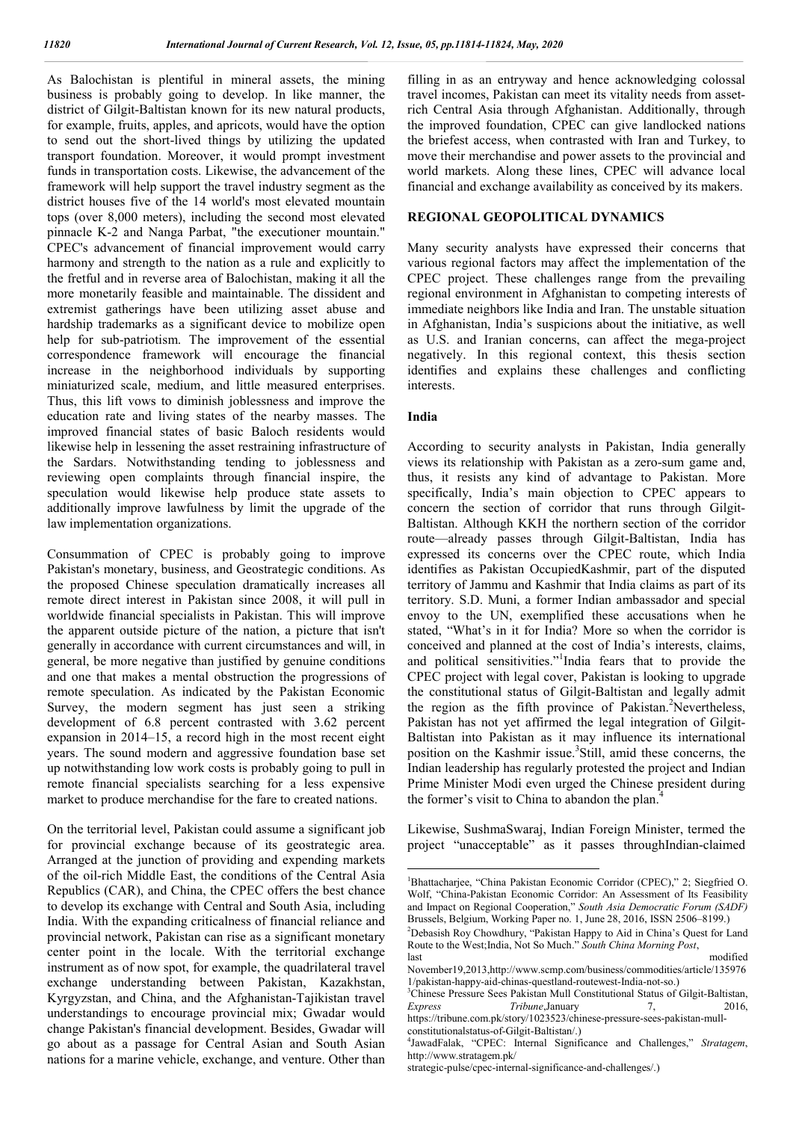As Balochistan is plentiful in mineral assets, the mining business is probably going to develop. In like manner, the district of Gilgit-Baltistan known for its new natural products, for example, fruits, apples, and apricots, would have the option to send out the short-lived things by utilizing the updated transport foundation. Moreover, it would prompt investment funds in transportation costs. Likewise, the advancement of the framework will help support the travel industry segment as the district houses five of the 14 world's most elevated mountain tops (over 8,000 meters), including the second most elevated pinnacle K-2 and Nanga Parbat, "the executioner mountain." CPEC's advancement of financial improvement would carry harmony and strength to the nation as a rule and explicitly to the fretful and in reverse area of Balochistan, making it all the more monetarily feasible and maintainable. The dissident and extremist gatherings have been utilizing asset abuse and hardship trademarks as a significant device to mobilize open help for sub-patriotism. The improvement of the essential correspondence framework will encourage the financial increase in the neighborhood individuals by supporting miniaturized scale, medium, and little measured enterprises. Thus, this lift vows to diminish joblessness and improve the education rate and living states of the nearby masses. The improved financial states of basic Baloch residents would likewise help in lessening the asset restraining infrastructure of the Sardars. Notwithstanding tending to joblessness and reviewing open complaints through financial inspire, the speculation would likewise help produce state assets to additionally improve lawfulness by limit the upgrade of the law implementation organizations.

Consummation of CPEC is probably going to improve Pakistan's monetary, business, and Geostrategic conditions. As the proposed Chinese speculation dramatically increases all remote direct interest in Pakistan since 2008, it will pull in worldwide financial specialists in Pakistan. This will improve the apparent outside picture of the nation, a picture that isn't generally in accordance with current circumstances and will, in general, be more negative than justified by genuine conditions and one that makes a mental obstruction the progressions of remote speculation. As indicated by the Pakistan Economic Survey, the modern segment has just seen a striking development of 6.8 percent contrasted with 3.62 percent expansion in 2014–15, a record high in the most recent eight years. The sound modern and aggressive foundation base set up notwithstanding low work costs is probably going to pull in remote financial specialists searching for a less expensive market to produce merchandise for the fare to created nations.

On the territorial level, Pakistan could assume a significant job for provincial exchange because of its geostrategic area. Arranged at the junction of providing and expending markets of the oil-rich Middle East, the conditions of the Central Asia Republics (CAR), and China, the CPEC offers the best chance to develop its exchange with Central and South Asia, including India. With the expanding criticalness of financial reliance and provincial network, Pakistan can rise as a significant monetary center point in the locale. With the territorial exchange instrument as of now spot, for example, the quadrilateral travel exchange understanding between Pakistan, Kazakhstan, Kyrgyzstan, and China, and the Afghanistan-Tajikistan travel understandings to encourage provincial mix; Gwadar would change Pakistan's financial development. Besides, Gwadar will go about as a passage for Central Asian and South Asian nations for a marine vehicle, exchange, and venture. Other than

filling in as an entryway and hence acknowledging colossal travel incomes, Pakistan can meet its vitality needs from assetrich Central Asia through Afghanistan. Additionally, through the improved foundation, CPEC can give landlocked nations the briefest access, when contrasted with Iran and Turkey, to move their merchandise and power assets to the provincial and world markets. Along these lines, CPEC will advance local financial and exchange availability as conceived by its makers.

## **REGIONAL GEOPOLITICAL DYNAMICS**

Many security analysts have expressed their concerns that various regional factors may affect the implementation of the CPEC project. These challenges range from the prevailing regional environment in Afghanistan to competing interests of immediate neighbors like India and Iran. The unstable situation in Afghanistan, India's suspicions about the initiative, as well as U.S. and Iranian concerns, can affect the mega-project negatively. In this regional context, this thesis section identifies and explains these challenges and conflicting interests.

#### **India**

According to security analysts in Pakistan, India generally views its relationship with Pakistan as a zero-sum game and, thus, it resists any kind of advantage to Pakistan. More specifically, India's main objection to CPEC appears to concern the section of corridor that runs through Gilgit-Baltistan. Although KKH the northern section of the corridor route—already passes through Gilgit-Baltistan, India has expressed its concerns over the CPEC route, which India identifies as Pakistan OccupiedKashmir, part of the disputed territory of Jammu and Kashmir that India claims as part of its territory. S.D. Muni, a former Indian ambassador and special envoy to the UN, exemplified these accusations when he stated, "What's in it for India? More so when the corridor is conceived and planned at the cost of India's interests, claims, and political sensitivities."<sup>1</sup>India fears that to provide the CPEC project with legal cover, Pakistan is looking to upgrade the constitutional status of Gilgit-Baltistan and legally admit the region as the fifth province of Pakistan.<sup>2</sup>Nevertheless, Pakistan has not yet affirmed the legal integration of Gilgit-Baltistan into Pakistan as it may influence its international position on the Kashmir issue.<sup>3</sup>Still, amid these concerns, the Indian leadership has regularly protested the project and Indian Prime Minister Modi even urged the Chinese president during the former's visit to China to abandon the plan.<sup>4</sup>

Likewise, SushmaSwaraj, Indian Foreign Minister, termed the project "unacceptable" as it passes throughIndian-claimed

 $\frac{1}{1}$ Bhattacharjee, "China Pakistan Economic Corridor (CPEC)," 2; Siegfried O. Wolf, "China-Pakistan Economic Corridor: An Assessment of Its Feasibility and Impact on Regional Cooperation," *South Asia Democratic Forum (SADF)*  Brussels, Belgium, Working Paper no. 1, June 28, 2016, ISSN 2506–8199.)

<sup>&</sup>lt;sup>2</sup>Debasish Roy Chowdhury, "Pakistan Happy to Aid in China's Quest for Land Route to the West;India, Not So Much." *South China Morning Post*, last modified

November19,2013,http://www.scmp.com/business/commodities/article/135976 1/pakistan-happy-aid-chinas-questland-routewest-India-not-so.) <sup>3</sup>

<sup>&</sup>lt;sup>3</sup>Chinese Pressure Sees Pakistan Mull Constitutional Status of Gilgit-Baltistan, *Express* Tribune, January 7, 2016, *Express Tribune*,January 7, 2016, https://tribune.com.pk/story/1023523/chinese-pressure-sees-pakistan-mull-

constitutionalstatus-of-Gilgit-Baltistan/.)

<sup>4</sup> JawadFalak, "CPEC: Internal Significance and Challenges," *Stratagem*, http://www.stratagem.pk/

strategic-pulse/cpec-internal-significance-and-challenges/.)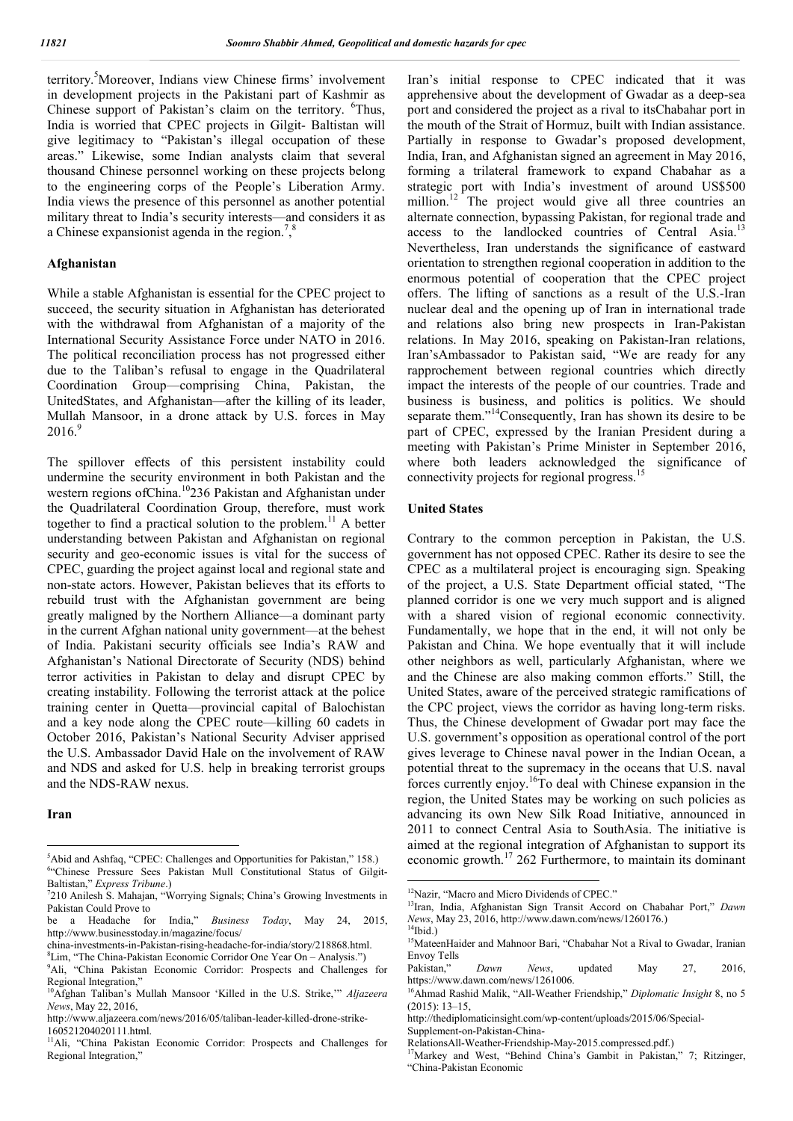territory.<sup>5</sup>Moreover, Indians view Chinese firms' involvement in development projects in the Pakistani part of Kashmir as Chinese support of Pakistan's claim on the territory. <sup>6</sup>Thus, India is worried that CPEC projects in Gilgit- Baltistan will give legitimacy to "Pakistan's illegal occupation of these areas." Likewise, some Indian analysts claim that several thousand Chinese personnel working on these projects belong to the engineering corps of the People's Liberation Army. India views the presence of this personnel as another potential military threat to India's security interests—and considers it as a Chinese expansionist agenda in the region.<sup>7</sup>, 8

#### **Afghanistan**

While a stable Afghanistan is essential for the CPEC project to succeed, the security situation in Afghanistan has deteriorated with the withdrawal from Afghanistan of a majority of the International Security Assistance Force under NATO in 2016. The political reconciliation process has not progressed either due to the Taliban's refusal to engage in the Quadrilateral Coordination Group—comprising China, Pakistan, the UnitedStates, and Afghanistan—after the killing of its leader, Mullah Mansoor, in a drone attack by U.S. forces in May  $2016.<sup>9</sup>$ 

The spillover effects of this persistent instability could undermine the security environment in both Pakistan and the western regions ofChina.<sup>10</sup>236 Pakistan and Afghanistan under the Quadrilateral Coordination Group, therefore, must work together to find a practical solution to the problem.<sup>11</sup> A better understanding between Pakistan and Afghanistan on regional security and geo-economic issues is vital for the success of CPEC, guarding the project against local and regional state and non-state actors. However, Pakistan believes that its efforts to rebuild trust with the Afghanistan government are being greatly maligned by the Northern Alliance—a dominant party in the current Afghan national unity government—at the behest of India. Pakistani security officials see India's RAW and Afghanistan's National Directorate of Security (NDS) behind terror activities in Pakistan to delay and disrupt CPEC by creating instability. Following the terrorist attack at the police training center in Quetta—provincial capital of Balochistan and a key node along the CPEC route—killing 60 cadets in October 2016, Pakistan's National Security Adviser apprised the U.S. Ambassador David Hale on the involvement of RAW and NDS and asked for U.S. help in breaking terrorist groups and the NDS-RAW nexus.

#### **Iran**

 $\frac{1}{5}$  ${}^{5}$ Abid and Ashfaq, "CPEC: Challenges and Opportunities for Pakistan," 158.) <sup>6</sup>"Chinese Pressure Sees Pakistan Mull Constitutional Status of Gilgit-Baltistan," *Express Tribune*.)

Iran's initial response to CPEC indicated that it was apprehensive about the development of Gwadar as a deep-sea port and considered the project as a rival to itsChabahar port in the mouth of the Strait of Hormuz, built with Indian assistance. Partially in response to Gwadar's proposed development, India, Iran, and Afghanistan signed an agreement in May 2016, forming a trilateral framework to expand Chabahar as a strategic port with India's investment of around US\$500 million.<sup>12</sup> The project would give all three countries an alternate connection, bypassing Pakistan, for regional trade and access to the landlocked countries of Central Asia.<sup>13</sup> Nevertheless, Iran understands the significance of eastward orientation to strengthen regional cooperation in addition to the enormous potential of cooperation that the CPEC project offers. The lifting of sanctions as a result of the U.S.-Iran nuclear deal and the opening up of Iran in international trade and relations also bring new prospects in Iran-Pakistan relations. In May 2016, speaking on Pakistan-Iran relations, Iran'sAmbassador to Pakistan said, "We are ready for any rapprochement between regional countries which directly impact the interests of the people of our countries. Trade and business is business, and politics is politics. We should separate them."<sup>14</sup>Consequently, Iran has shown its desire to be part of CPEC, expressed by the Iranian President during a meeting with Pakistan's Prime Minister in September 2016, where both leaders acknowledged the significance of connectivity projects for regional progress.<sup>15</sup>

#### **United States**

Contrary to the common perception in Pakistan, the U.S. government has not opposed CPEC. Rather its desire to see the CPEC as a multilateral project is encouraging sign. Speaking of the project, a U.S. State Department official stated, "The planned corridor is one we very much support and is aligned with a shared vision of regional economic connectivity. Fundamentally, we hope that in the end, it will not only be Pakistan and China. We hope eventually that it will include other neighbors as well, particularly Afghanistan, where we and the Chinese are also making common efforts." Still, the United States, aware of the perceived strategic ramifications of the CPC project, views the corridor as having long-term risks. Thus, the Chinese development of Gwadar port may face the U.S. government's opposition as operational control of the port gives leverage to Chinese naval power in the Indian Ocean, a potential threat to the supremacy in the oceans that U.S. naval forces currently enjoy.<sup>16</sup>To deal with Chinese expansion in the region, the United States may be working on such policies as advancing its own New Silk Road Initiative, announced in 2011 to connect Central Asia to SouthAsia. The initiative is aimed at the regional integration of Afghanistan to support its economic growth.<sup>17</sup> 262 Furthermore, to maintain its dominant

<sup>&</sup>lt;sup>7</sup>210 Anilesh S. Mahajan, "Worrying Signals; China's Growing Investments in Pakistan Could Prove to

be a Headache for India," *Business Today*, May 24, 2015, http://www.businesstoday.in/magazine/focus/

china-investments-in-Pakistan-rising-headache-for-india/story/218868.html. <sup>8</sup>

 ${}^8$ Lim, "The China-Pakistan Economic Corridor One Year On – Analysis.") <sup>9</sup>Ali, "China Pakistan Economic Corridor: Prospects and Challenges for Regional Integration,"

<sup>10</sup>Afghan Taliban's Mullah Mansoor 'Killed in the U.S. Strike,'" *Aljazeera News*, May 22, 2016,

http://www.aljazeera.com/news/2016/05/taliban-leader-killed-drone-strike-160521204020111.html.

<sup>11</sup>Ali, "China Pakistan Economic Corridor: Prospects and Challenges for Regional Integration,"

<sup>&</sup>lt;sup>12</sup>Nazir, "Macro and Micro Dividends of CPEC."

<sup>13</sup>Iran, India, Afghanistan Sign Transit Accord on Chabahar Port," *Dawn News*, May 23, 2016, http://www.dawn.com/news/1260176.) <sup>14</sup>Ibid.)

<sup>&</sup>lt;sup>15</sup>MateenHaider and Mahnoor Bari, "Chabahar Not a Rival to Gwadar, Iranian Envoy Tells

Pakistan," *Dawn News*, updated May 27, 2016, https://www.dawn.com/news/1261006.

<sup>16</sup>Ahmad Rashid Malik, "All-Weather Friendship," *Diplomatic Insight* 8, no 5 (2015): 13–15,

http://thediplomaticinsight.com/wp-content/uploads/2015/06/Special-

Supplement-on-Pakistan-China-

RelationsAll-Weather-Friendship-May-2015.compressed.pdf.)

<sup>&</sup>lt;sup>17</sup>Markey and West, "Behind China's Gambit in Pakistan," 7; Ritzinger, "China-Pakistan Economic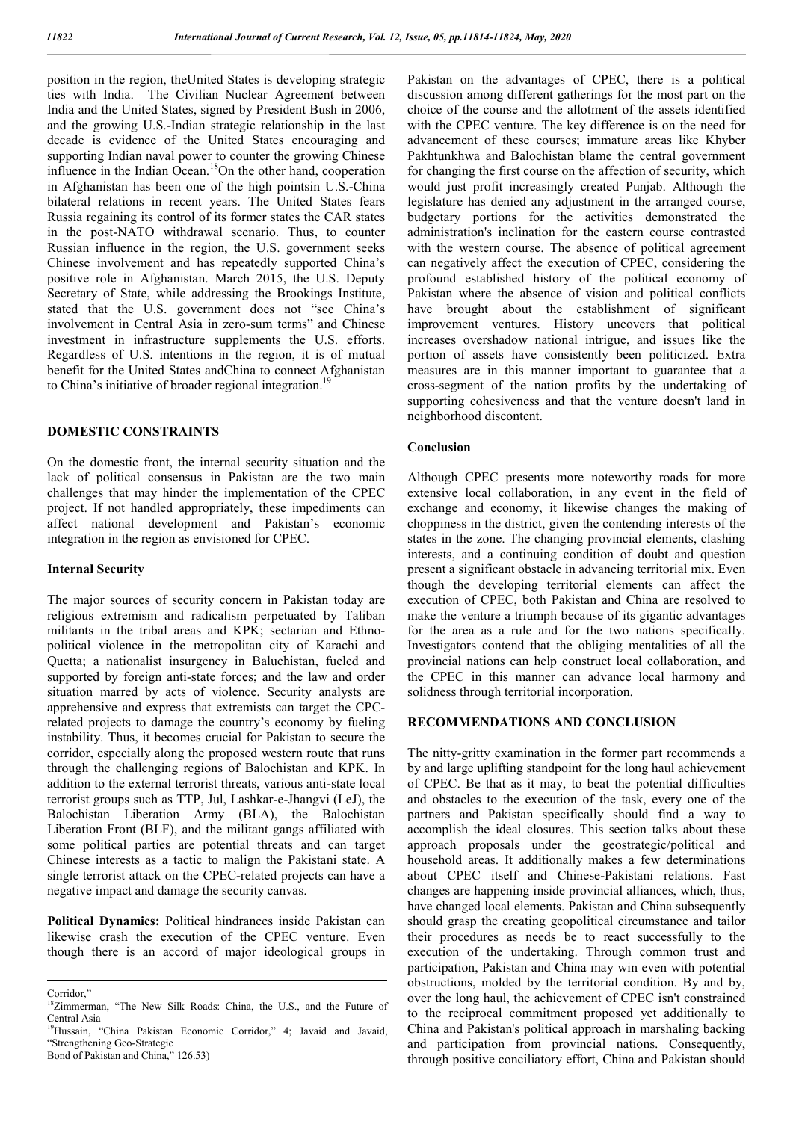position in the region, theUnited States is developing strategic ties with India. The Civilian Nuclear Agreement between India and the United States, signed by President Bush in 2006, and the growing U.S.-Indian strategic relationship in the last decade is evidence of the United States encouraging and supporting Indian naval power to counter the growing Chinese influence in the Indian Ocean.<sup>18</sup>On the other hand, cooperation in Afghanistan has been one of the high pointsin U.S.-China bilateral relations in recent years. The United States fears Russia regaining its control of its former states the CAR states in the post-NATO withdrawal scenario. Thus, to counter Russian influence in the region, the U.S. government seeks Chinese involvement and has repeatedly supported China's positive role in Afghanistan. March 2015, the U.S. Deputy Secretary of State, while addressing the Brookings Institute, stated that the U.S. government does not "see China's involvement in Central Asia in zero-sum terms" and Chinese investment in infrastructure supplements the U.S. efforts. Regardless of U.S. intentions in the region, it is of mutual benefit for the United States andChina to connect Afghanistan to China's initiative of broader regional integration.<sup>19</sup>

## **DOMESTIC CONSTRAINTS**

On the domestic front, the internal security situation and the lack of political consensus in Pakistan are the two main challenges that may hinder the implementation of the CPEC project. If not handled appropriately, these impediments can affect national development and Pakistan's economic integration in the region as envisioned for CPEC.

#### **Internal Security**

The major sources of security concern in Pakistan today are religious extremism and radicalism perpetuated by Taliban militants in the tribal areas and KPK; sectarian and Ethnopolitical violence in the metropolitan city of Karachi and Quetta; a nationalist insurgency in Baluchistan, fueled and supported by foreign anti-state forces; and the law and order situation marred by acts of violence. Security analysts are apprehensive and express that extremists can target the CPCrelated projects to damage the country's economy by fueling instability. Thus, it becomes crucial for Pakistan to secure the corridor, especially along the proposed western route that runs through the challenging regions of Balochistan and KPK. In addition to the external terrorist threats, various anti-state local terrorist groups such as TTP, Jul, Lashkar-e-Jhangvi (LeJ), the Balochistan Liberation Army (BLA), the Balochistan Liberation Front (BLF), and the militant gangs affiliated with some political parties are potential threats and can target Chinese interests as a tactic to malign the Pakistani state. A single terrorist attack on the CPEC-related projects can have a negative impact and damage the security canvas.

**Political Dynamics:** Political hindrances inside Pakistan can likewise crash the execution of the CPEC venture. Even though there is an accord of major ideological groups in

Bond of Pakistan and China," 126.53)

Pakistan on the advantages of CPEC, there is a political discussion among different gatherings for the most part on the choice of the course and the allotment of the assets identified with the CPEC venture. The key difference is on the need for advancement of these courses; immature areas like Khyber Pakhtunkhwa and Balochistan blame the central government for changing the first course on the affection of security, which would just profit increasingly created Punjab. Although the legislature has denied any adjustment in the arranged course, budgetary portions for the activities demonstrated the administration's inclination for the eastern course contrasted with the western course. The absence of political agreement can negatively affect the execution of CPEC, considering the profound established history of the political economy of Pakistan where the absence of vision and political conflicts have brought about the establishment of significant improvement ventures. History uncovers that political increases overshadow national intrigue, and issues like the portion of assets have consistently been politicized. Extra measures are in this manner important to guarantee that a cross-segment of the nation profits by the undertaking of supporting cohesiveness and that the venture doesn't land in neighborhood discontent.

#### **Conclusion**

Although CPEC presents more noteworthy roads for more extensive local collaboration, in any event in the field of exchange and economy, it likewise changes the making of choppiness in the district, given the contending interests of the states in the zone. The changing provincial elements, clashing interests, and a continuing condition of doubt and question present a significant obstacle in advancing territorial mix. Even though the developing territorial elements can affect the execution of CPEC, both Pakistan and China are resolved to make the venture a triumph because of its gigantic advantages for the area as a rule and for the two nations specifically. Investigators contend that the obliging mentalities of all the provincial nations can help construct local collaboration, and the CPEC in this manner can advance local harmony and solidness through territorial incorporation.

### **RECOMMENDATIONS AND CONCLUSION**

The nitty-gritty examination in the former part recommends a by and large uplifting standpoint for the long haul achievement of CPEC. Be that as it may, to beat the potential difficulties and obstacles to the execution of the task, every one of the partners and Pakistan specifically should find a way to accomplish the ideal closures. This section talks about these approach proposals under the geostrategic/political and household areas. It additionally makes a few determinations about CPEC itself and Chinese-Pakistani relations. Fast changes are happening inside provincial alliances, which, thus, have changed local elements. Pakistan and China subsequently should grasp the creating geopolitical circumstance and tailor their procedures as needs be to react successfully to the execution of the undertaking. Through common trust and participation, Pakistan and China may win even with potential obstructions, molded by the territorial condition. By and by, over the long haul, the achievement of CPEC isn't constrained to the reciprocal commitment proposed yet additionally to China and Pakistan's political approach in marshaling backing and participation from provincial nations. Consequently, through positive conciliatory effort, China and Pakistan should

Corridor,"

<sup>&</sup>lt;sup>18</sup>Zimmerman, "The New Silk Roads: China, the U.S., and the Future of Central Asia

<sup>&</sup>lt;sup>19</sup>Hussain, "China Pakistan Economic Corridor," 4: Javaid and Javaid, "Strengthening Geo-Strategic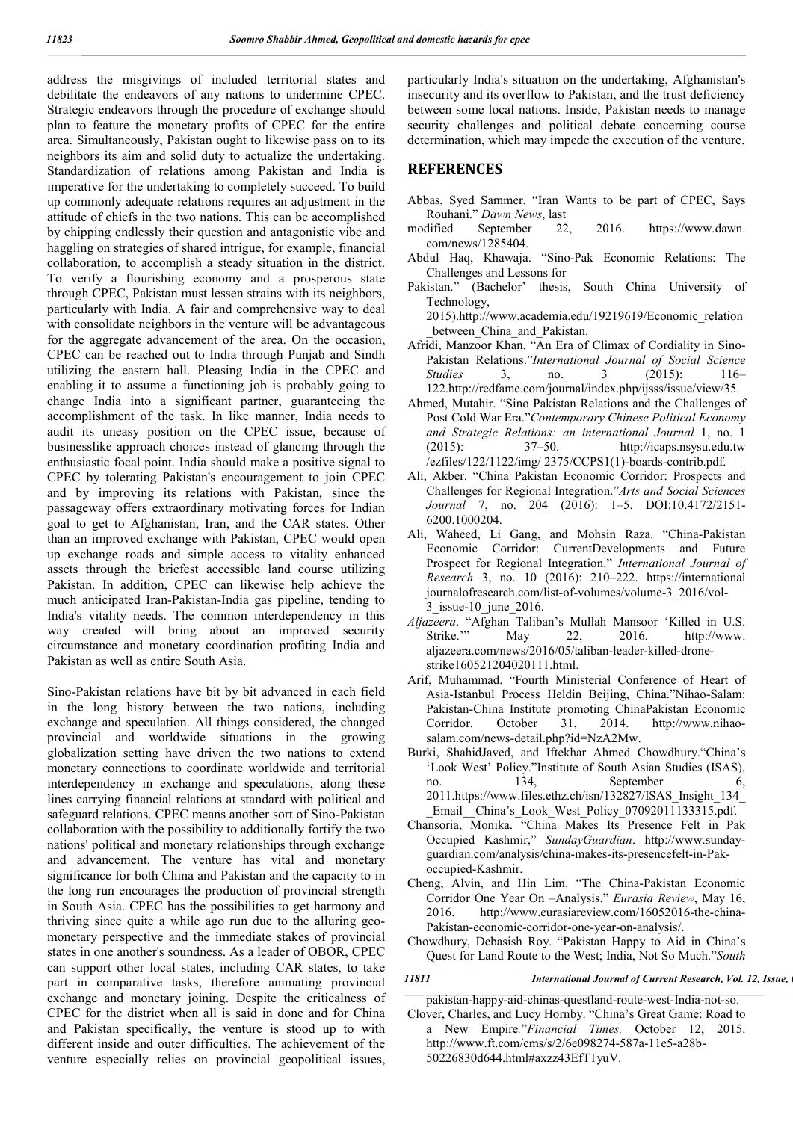address the misgivings of included territorial states and debilitate the endeavors of any nations to undermine CPEC. Strategic endeavors through the procedure of exchange should plan to feature the monetary profits of CPEC for the entire area. Simultaneously, Pakistan ought to likewise pass on to its neighbors its aim and solid duty to actualize the undertaking. Standardization of relations among Pakistan and India is imperative for the undertaking to completely succeed. To build up commonly adequate relations requires an adjustment in the attitude of chiefs in the two nations. This can be accomplished by chipping endlessly their question and antagonistic vibe and haggling on strategies of shared intrigue, for example, financial collaboration, to accomplish a steady situation in the district. To verify a flourishing economy and a prosperous state through CPEC, Pakistan must lessen strains with its neighbors, particularly with India. A fair and comprehensive way to deal with consolidate neighbors in the venture will be advantageous for the aggregate advancement of the area. On the occasion, CPEC can be reached out to India through Punjab and Sindh utilizing the eastern hall. Pleasing India in the CPEC and enabling it to assume a functioning job is probably going to change India into a significant partner, guaranteeing the accomplishment of the task. In like manner, India needs to audit its uneasy position on the CPEC issue, because of businesslike approach choices instead of glancing through the enthusiastic focal point. India should make a positive signal to CPEC by tolerating Pakistan's encouragement to join CPEC and by improving its relations with Pakistan, since the passageway offers extraordinary motivating forces for Indian goal to get to Afghanistan, Iran, and the CAR states. Other than an improved exchange with Pakistan, CPEC would open up exchange roads and simple access to vitality enhanced assets through the briefest accessible land course utilizing Pakistan. In addition, CPEC can likewise help achieve the much anticipated Iran-Pakistan-India gas pipeline, tending to India's vitality needs. The common interdependency in this way created will bring about an improved security circumstance and monetary coordination profiting India and Pakistan as well as entire South Asia.

Sino-Pakistan relations have bit by bit advanced in each field in the long history between the two nations, including exchange and speculation. All things considered, the changed provincial and worldwide situations in the growing globalization setting have driven the two nations to extend monetary connections to coordinate worldwide and territorial interdependency in exchange and speculations, along these lines carrying financial relations at standard with political and safeguard relations. CPEC means another sort of Sino-Pakistan collaboration with the possibility to additionally fortify the two nations' political and monetary relationships through exchange and advancement. The venture has vital and monetary significance for both China and Pakistan and the capacity to in the long run encourages the production of provincial strength in South Asia. CPEC has the possibilities to get harmony and thriving since quite a while ago run due to the alluring geomonetary perspective and the immediate stakes of provincial states in one another's soundness. As a leader of OBOR, CPEC can support other local states, including CAR states, to take part in comparative tasks, therefore animating provincial exchange and monetary joining. Despite the criticalness of CPEC for the district when all is said in done and for China and Pakistan specifically, the venture is stood up to with different inside and outer difficulties. The achievement of the venture especially relies on provincial geopolitical issues,

particularly India's situation on the undertaking, Afghanistan's insecurity and its overflow to Pakistan, and the trust deficiency between some local nations. Inside, Pakistan needs to manage security challenges and political debate concerning course determination, which may impede the execution of the venture.

## **REFERENCES**

- Abbas, Syed Sammer. "Iran Wants to be part of CPEC, Says Rouhani." *Dawn News*, last
- modified September 22, 2016. https://www.dawn. com/news/1285404.
- Abdul Haq, Khawaja. "Sino-Pak Economic Relations: The Challenges and Lessons for
- Pakistan." (Bachelor' thesis, South China University of Technology,

2015).http://www.academia.edu/19219619/Economic\_relation between China and Pakistan.

- Afridi, Manzoor Khan. "An Era of Climax of Cordiality in Sino-Pakistan Relations."*International Journal of Social Science Studies* 3, no. 3 (2015): 116– 122.http://redfame.com/journal/index.php/ijsss/issue/view/35.
- Ahmed, Mutahir. "Sino Pakistan Relations and the Challenges of Post Cold War Era."*Contemporary Chinese Political Economy and Strategic Relations: an international Journal* 1, no. 1 (2015): 37–50. http://icaps.nsysu.edu.tw /ezfiles/122/1122/img/ 2375/CCPS1(1)-boards-contrib.pdf.
- Ali, Akber. "China Pakistan Economic Corridor: Prospects and Challenges for Regional Integration."*Arts and Social Sciences Journal* 7, no. 204 (2016): 1–5. DOI:10.4172/2151- 6200.1000204.
- Ali, Waheed, Li Gang, and Mohsin Raza. "China-Pakistan Economic Corridor: CurrentDevelopments and Future Prospect for Regional Integration." *International Journal of Research* 3, no. 10 (2016): 210–222. https://international journalofresearch.com/list-of-volumes/volume-3\_2016/vol-3\_issue-10\_june\_2016.
- *Aljazeera*. "Afghan Taliban's Mullah Mansoor 'Killed in U.S. May 22, 2016. http://www. aljazeera.com/news/2016/05/taliban-leader-killed-dronestrike160521204020111.html.
- Arif, Muhammad. "Fourth Ministerial Conference of Heart of Asia-Istanbul Process Heldin Beijing, China."Nihao-Salam: Pakistan-China Institute promoting ChinaPakistan Economic Corridor. October 31, 2014. http://www.nihaosalam.com/news-detail.php?id=NzA2Mw.
- Burki, ShahidJaved, and Iftekhar Ahmed Chowdhury."China's 'Look West' Policy."Institute of South Asian Studies (ISAS), no. 134, September 6, 2011.https://www.files.ethz.ch/isn/132827/ISAS\_Insight\_134\_ Email China's Look West Policy 07092011133315.pdf.
- Chansoria, Monika. "China Makes Its Presence Felt in Pak Occupied Kashmir," *SundayGuardian*. http://www.sundayguardian.com/analysis/china-makes-its-presencefelt-in-Pakoccupied-Kashmir.
- Cheng, Alvin, and Hin Lim. "The China-Pakistan Economic Corridor One Year On –Analysis." *Eurasia Review*, May 16, 2016. http://www.eurasiareview.com/16052016-the-china-Pakistan-economic-corridor-one-year-on-analysis/.
- Chowdhury, Debasish Roy. "Pakistan Happy to Aid in China's Quest for Land Route to the West; India, Not So Much."*South*
- *China Morning Post*, last modified November 19, 2013. *11811 International Journal of Current Research, Vol. 12, Issue, 05*
- pakistan-happy-aid-chinas-questland-route-west-India-not-so. Clover, Charles, and Lucy Hornby. "China's Great Game: Road to a New Empire*.*"*Financial Times,* October 12, 2015. http://www.ft.com/cms/s/2/6e098274-587a-11e5-a28b-50226830d644.html#axzz43EfT1yuV.